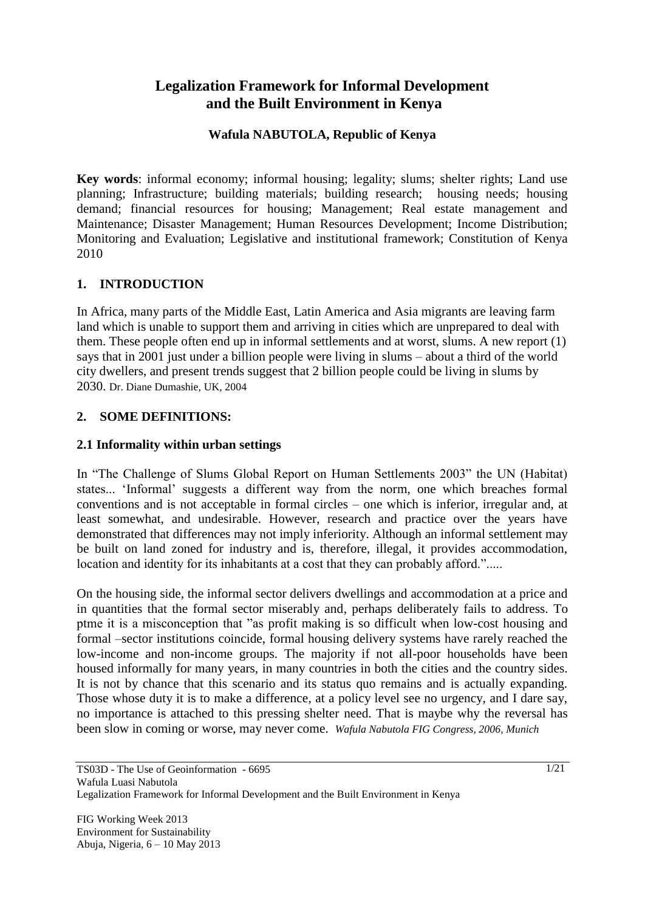# **Legalization Framework for Informal Development and the Built Environment in Kenya**

## **Wafula NABUTOLA, Republic of Kenya**

**Key words**: informal economy; informal housing; legality; slums; shelter rights; Land use planning; Infrastructure; building materials; building research; housing needs; housing demand; financial resources for housing; Management; Real estate management and Maintenance; Disaster Management; Human Resources Development; Income Distribution; Monitoring and Evaluation; Legislative and institutional framework; Constitution of Kenya 2010

## **1. INTRODUCTION**

In Africa, many parts of the Middle East, Latin America and Asia migrants are leaving farm land which is unable to support them and arriving in cities which are unprepared to deal with them. These people often end up in informal settlements and at worst, slums. A new report (1) says that in 2001 just under a billion people were living in slums – about a third of the world city dwellers, and present trends suggest that 2 billion people could be living in slums by 2030. Dr. Diane Dumashie, UK, 2004

### **2. SOME DEFINITIONS:**

### **2.1 Informality within urban settings**

In "The Challenge of Slums Global Report on Human Settlements 2003" the UN (Habitat) states... 'Informal' suggests a different way from the norm, one which breaches formal conventions and is not acceptable in formal circles – one which is inferior, irregular and, at least somewhat, and undesirable. However, research and practice over the years have demonstrated that differences may not imply inferiority. Although an informal settlement may be built on land zoned for industry and is, therefore, illegal, it provides accommodation, location and identity for its inhabitants at a cost that they can probably afford.".....

On the housing side, the informal sector delivers dwellings and accommodation at a price and in quantities that the formal sector miserably and, perhaps deliberately fails to address. To ptme it is a misconception that "as profit making is so difficult when low-cost housing and formal –sector institutions coincide, formal housing delivery systems have rarely reached the low-income and non-income groups. The majority if not all-poor households have been housed informally for many years, in many countries in both the cities and the country sides. It is not by chance that this scenario and its status quo remains and is actually expanding. Those whose duty it is to make a difference, at a policy level see no urgency, and I dare say, no importance is attached to this pressing shelter need. That is maybe why the reversal has been slow in coming or worse, may never come. *Wafula Nabutola FIG Congress, 2006, Munich*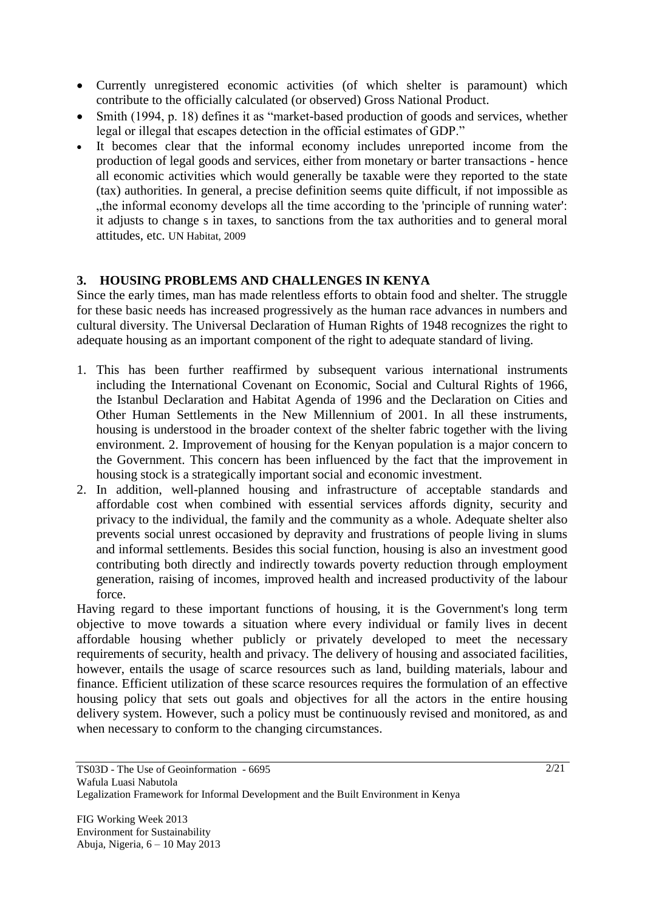- Currently unregistered economic activities (of which shelter is paramount) which contribute to the officially calculated (or observed) Gross National Product.
- Smith (1994, p. 18) defines it as "market-based production of goods and services, whether legal or illegal that escapes detection in the official estimates of GDP."
- It becomes clear that the informal economy includes unreported income from the production of legal goods and services, either from monetary or barter transactions - hence all economic activities which would generally be taxable were they reported to the state (tax) authorities. In general, a precise definition seems quite difficult, if not impossible as "the informal economy develops all the time according to the 'principle of running water': it adjusts to change s in taxes, to sanctions from the tax authorities and to general moral attitudes, etc. UN Habitat, 2009

## **3. HOUSING PROBLEMS AND CHALLENGES IN KENYA**

Since the early times, man has made relentless efforts to obtain food and shelter. The struggle for these basic needs has increased progressively as the human race advances in numbers and cultural diversity. The Universal Declaration of Human Rights of 1948 recognizes the right to adequate housing as an important component of the right to adequate standard of living.

- 1. This has been further reaffirmed by subsequent various international instruments including the International Covenant on Economic, Social and Cultural Rights of 1966, the Istanbul Declaration and Habitat Agenda of 1996 and the Declaration on Cities and Other Human Settlements in the New Millennium of 2001. In all these instruments, housing is understood in the broader context of the shelter fabric together with the living environment. 2. Improvement of housing for the Kenyan population is a major concern to the Government. This concern has been influenced by the fact that the improvement in housing stock is a strategically important social and economic investment.
- 2. In addition, well-planned housing and infrastructure of acceptable standards and affordable cost when combined with essential services affords dignity, security and privacy to the individual, the family and the community as a whole. Adequate shelter also prevents social unrest occasioned by depravity and frustrations of people living in slums and informal settlements. Besides this social function, housing is also an investment good contributing both directly and indirectly towards poverty reduction through employment generation, raising of incomes, improved health and increased productivity of the labour force.

Having regard to these important functions of housing, it is the Government's long term objective to move towards a situation where every individual or family lives in decent affordable housing whether publicly or privately developed to meet the necessary requirements of security, health and privacy. The delivery of housing and associated facilities, however, entails the usage of scarce resources such as land, building materials, labour and finance. Efficient utilization of these scarce resources requires the formulation of an effective housing policy that sets out goals and objectives for all the actors in the entire housing delivery system. However, such a policy must be continuously revised and monitored, as and when necessary to conform to the changing circumstances.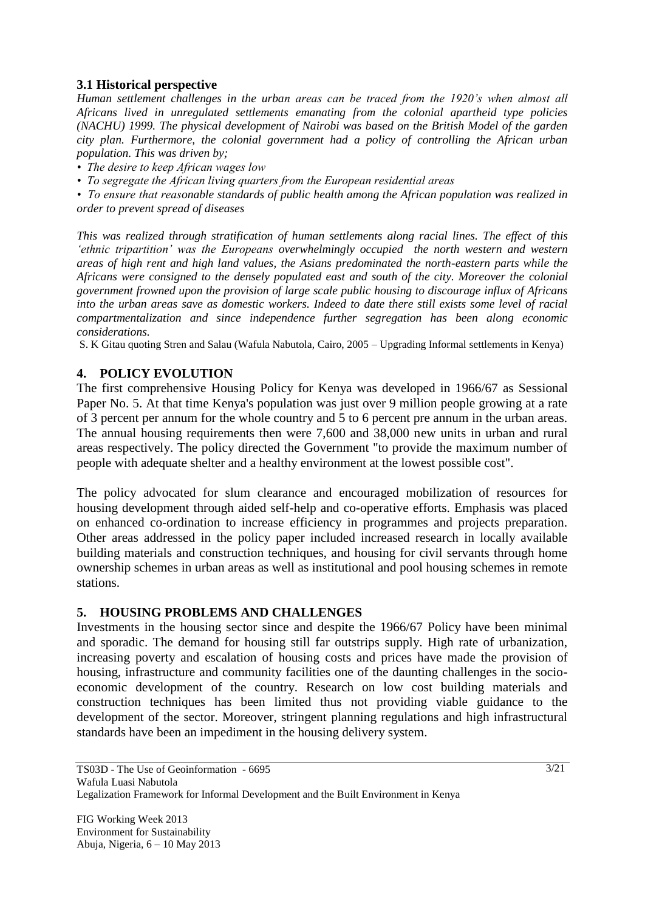## **3.1 Historical perspective**

*Human settlement challenges in the urban areas can be traced from the 1920's when almost all Africans lived in unregulated settlements emanating from the colonial apartheid type policies (NACHU) 1999. The physical development of Nairobi was based on the British Model of the garden city plan. Furthermore, the colonial government had a policy of controlling the African urban population. This was driven by;* 

*• The desire to keep African wages low*

*• To segregate the African living quarters from the European residential areas*

*• To ensure that reasonable standards of public health among the African population was realized in order to prevent spread of diseases*

*This was realized through stratification of human settlements along racial lines. The effect of this 'ethnic tripartition' was the Europeans overwhelmingly occupied the north western and western areas of high rent and high land values, the Asians predominated the north-eastern parts while the Africans were consigned to the densely populated east and south of the city. Moreover the colonial government frowned upon the provision of large scale public housing to discourage influx of Africans into the urban areas save as domestic workers. Indeed to date there still exists some level of racial compartmentalization and since independence further segregation has been along economic considerations.*

S. K Gitau quoting Stren and Salau (Wafula Nabutola, Cairo, 2005 – Upgrading Informal settlements in Kenya)

## **4. POLICY EVOLUTION**

The first comprehensive Housing Policy for Kenya was developed in 1966/67 as Sessional Paper No. 5. At that time Kenya's population was just over 9 million people growing at a rate of 3 percent per annum for the whole country and 5 to 6 percent pre annum in the urban areas. The annual housing requirements then were 7,600 and 38,000 new units in urban and rural areas respectively. The policy directed the Government "to provide the maximum number of people with adequate shelter and a healthy environment at the lowest possible cost".

The policy advocated for slum clearance and encouraged mobilization of resources for housing development through aided self-help and co-operative efforts. Emphasis was placed on enhanced co-ordination to increase efficiency in programmes and projects preparation. Other areas addressed in the policy paper included increased research in locally available building materials and construction techniques, and housing for civil servants through home ownership schemes in urban areas as well as institutional and pool housing schemes in remote stations.

## **5. HOUSING PROBLEMS AND CHALLENGES**

Investments in the housing sector since and despite the 1966/67 Policy have been minimal and sporadic. The demand for housing still far outstrips supply. High rate of urbanization, increasing poverty and escalation of housing costs and prices have made the provision of housing, infrastructure and community facilities one of the daunting challenges in the socioeconomic development of the country. Research on low cost building materials and construction techniques has been limited thus not providing viable guidance to the development of the sector. Moreover, stringent planning regulations and high infrastructural standards have been an impediment in the housing delivery system.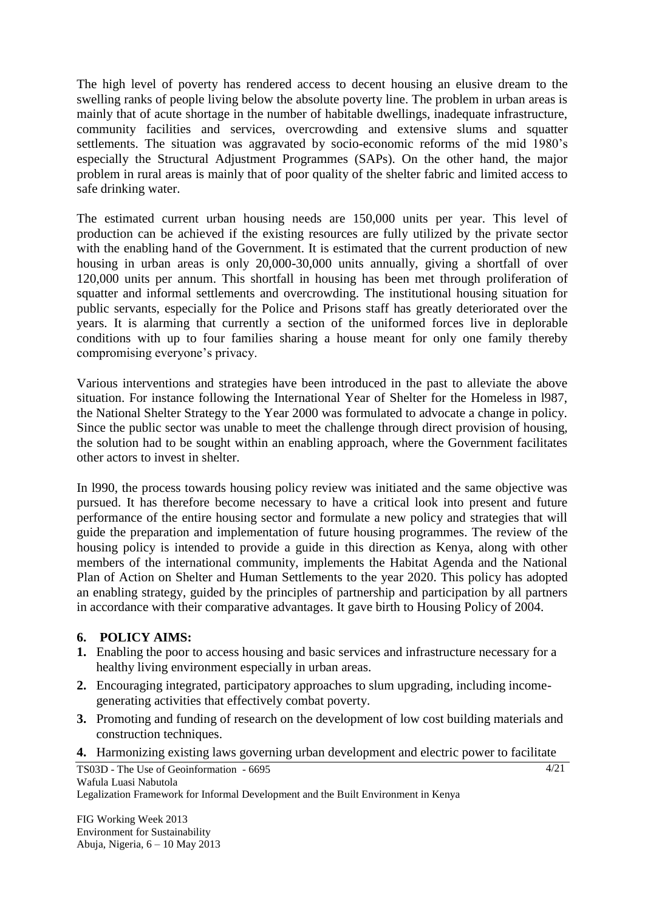The high level of poverty has rendered access to decent housing an elusive dream to the swelling ranks of people living below the absolute poverty line. The problem in urban areas is mainly that of acute shortage in the number of habitable dwellings, inadequate infrastructure, community facilities and services, overcrowding and extensive slums and squatter settlements. The situation was aggravated by socio-economic reforms of the mid 1980's especially the Structural Adjustment Programmes (SAPs). On the other hand, the major problem in rural areas is mainly that of poor quality of the shelter fabric and limited access to safe drinking water.

The estimated current urban housing needs are 150,000 units per year. This level of production can be achieved if the existing resources are fully utilized by the private sector with the enabling hand of the Government. It is estimated that the current production of new housing in urban areas is only 20,000-30,000 units annually, giving a shortfall of over 120,000 units per annum. This shortfall in housing has been met through proliferation of squatter and informal settlements and overcrowding. The institutional housing situation for public servants, especially for the Police and Prisons staff has greatly deteriorated over the years. It is alarming that currently a section of the uniformed forces live in deplorable conditions with up to four families sharing a house meant for only one family thereby compromising everyone's privacy.

Various interventions and strategies have been introduced in the past to alleviate the above situation. For instance following the International Year of Shelter for the Homeless in l987, the National Shelter Strategy to the Year 2000 was formulated to advocate a change in policy. Since the public sector was unable to meet the challenge through direct provision of housing, the solution had to be sought within an enabling approach, where the Government facilitates other actors to invest in shelter.

In l990, the process towards housing policy review was initiated and the same objective was pursued. It has therefore become necessary to have a critical look into present and future performance of the entire housing sector and formulate a new policy and strategies that will guide the preparation and implementation of future housing programmes. The review of the housing policy is intended to provide a guide in this direction as Kenya, along with other members of the international community, implements the Habitat Agenda and the National Plan of Action on Shelter and Human Settlements to the year 2020. This policy has adopted an enabling strategy, guided by the principles of partnership and participation by all partners in accordance with their comparative advantages. It gave birth to Housing Policy of 2004.

## **6. POLICY AIMS:**

- **1.** Enabling the poor to access housing and basic services and infrastructure necessary for a healthy living environment especially in urban areas.
- **2.** Encouraging integrated, participatory approaches to slum upgrading, including incomegenerating activities that effectively combat poverty.
- **3.** Promoting and funding of research on the development of low cost building materials and construction techniques.
- **4.** Harmonizing existing laws governing urban development and electric power to facilitate

 $4/21$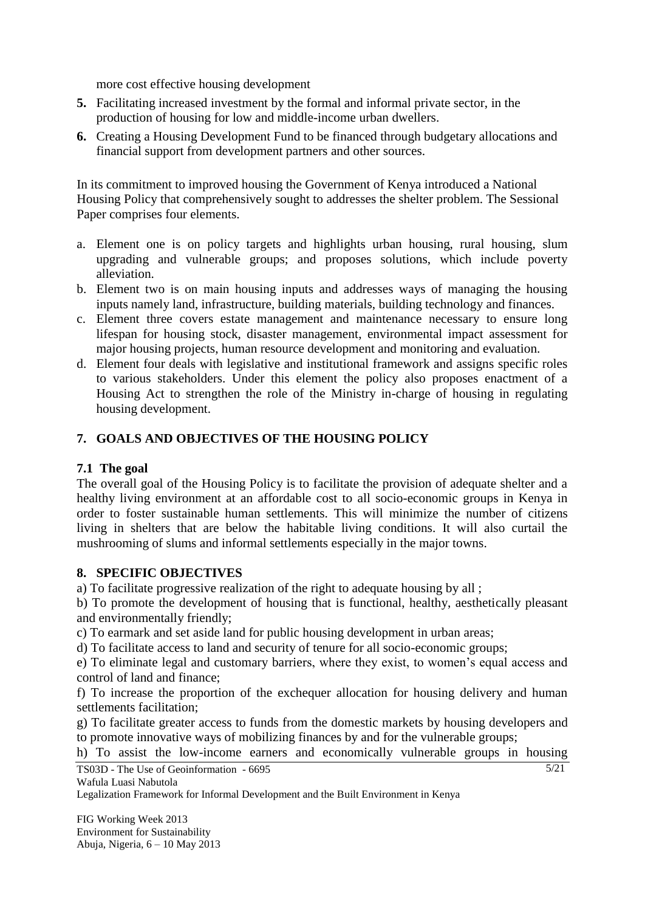more cost effective housing development

- **5.** Facilitating increased investment by the formal and informal private sector, in the production of housing for low and middle-income urban dwellers.
- **6.** Creating a Housing Development Fund to be financed through budgetary allocations and financial support from development partners and other sources.

In its commitment to improved housing the Government of Kenya introduced a National Housing Policy that comprehensively sought to addresses the shelter problem. The Sessional Paper comprises four elements.

- a. Element one is on policy targets and highlights urban housing, rural housing, slum upgrading and vulnerable groups; and proposes solutions, which include poverty alleviation.
- b. Element two is on main housing inputs and addresses ways of managing the housing inputs namely land, infrastructure, building materials, building technology and finances.
- c. Element three covers estate management and maintenance necessary to ensure long lifespan for housing stock, disaster management, environmental impact assessment for major housing projects, human resource development and monitoring and evaluation.
- d. Element four deals with legislative and institutional framework and assigns specific roles to various stakeholders. Under this element the policy also proposes enactment of a Housing Act to strengthen the role of the Ministry in-charge of housing in regulating housing development.

## **7. GOALS AND OBJECTIVES OF THE HOUSING POLICY**

## **7.1 The goal**

The overall goal of the Housing Policy is to facilitate the provision of adequate shelter and a healthy living environment at an affordable cost to all socio-economic groups in Kenya in order to foster sustainable human settlements. This will minimize the number of citizens living in shelters that are below the habitable living conditions. It will also curtail the mushrooming of slums and informal settlements especially in the major towns.

#### **8. SPECIFIC OBJECTIVES**

a) To facilitate progressive realization of the right to adequate housing by all ;

b) To promote the development of housing that is functional, healthy, aesthetically pleasant and environmentally friendly;

c) To earmark and set aside land for public housing development in urban areas;

d) To facilitate access to land and security of tenure for all socio-economic groups;

e) To eliminate legal and customary barriers, where they exist, to women's equal access and control of land and finance;

f) To increase the proportion of the exchequer allocation for housing delivery and human settlements facilitation;

g) To facilitate greater access to funds from the domestic markets by housing developers and to promote innovative ways of mobilizing finances by and for the vulnerable groups;

TS03D - The Use of Geoinformation - 6695 5/21 h) To assist the low-income earners and economically vulnerable groups in housing

Wafula Luasi Nabutola

Legalization Framework for Informal Development and the Built Environment in Kenya

FIG Working Week 2013 Environment for Sustainability Abuja, Nigeria, 6 – 10 May 2013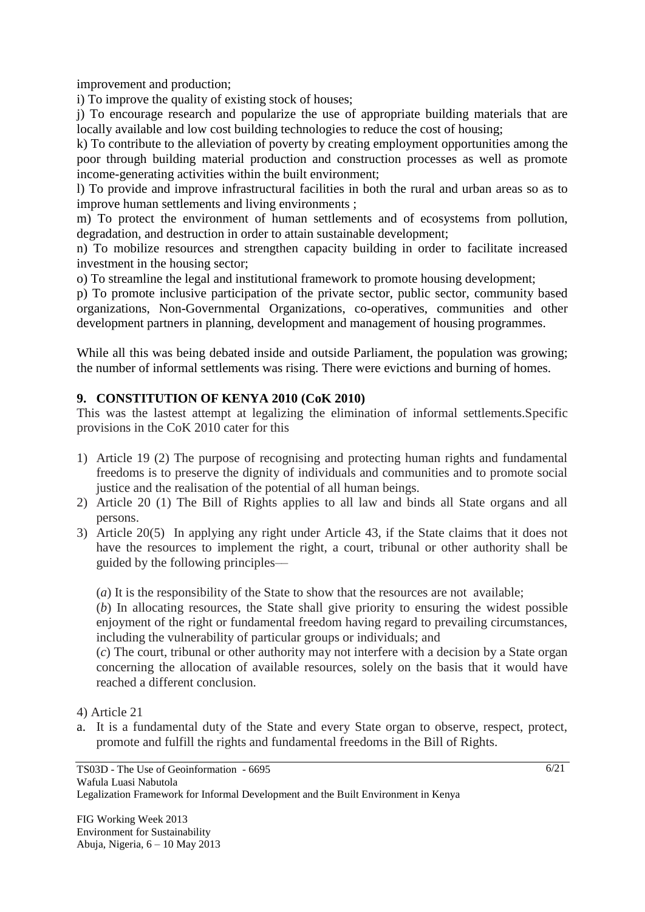improvement and production;

i) To improve the quality of existing stock of houses;

j) To encourage research and popularize the use of appropriate building materials that are locally available and low cost building technologies to reduce the cost of housing;

k) To contribute to the alleviation of poverty by creating employment opportunities among the poor through building material production and construction processes as well as promote income-generating activities within the built environment;

l) To provide and improve infrastructural facilities in both the rural and urban areas so as to improve human settlements and living environments ;

m) To protect the environment of human settlements and of ecosystems from pollution, degradation, and destruction in order to attain sustainable development;

n) To mobilize resources and strengthen capacity building in order to facilitate increased investment in the housing sector;

o) To streamline the legal and institutional framework to promote housing development;

p) To promote inclusive participation of the private sector, public sector, community based organizations, Non-Governmental Organizations, co-operatives, communities and other development partners in planning, development and management of housing programmes.

While all this was being debated inside and outside Parliament, the population was growing; the number of informal settlements was rising. There were evictions and burning of homes.

## **9. CONSTITUTION OF KENYA 2010 (CoK 2010)**

This was the lastest attempt at legalizing the elimination of informal settlements.Specific provisions in the CoK 2010 cater for this

- 1) Article 19 (2) The purpose of recognising and protecting human rights and fundamental freedoms is to preserve the dignity of individuals and communities and to promote social justice and the realisation of the potential of all human beings.
- 2) Article 20 (1) The Bill of Rights applies to all law and binds all State organs and all persons.
- 3) Article 20(5) In applying any right under Article 43, if the State claims that it does not have the resources to implement the right, a court, tribunal or other authority shall be guided by the following principles––

(*a*) It is the responsibility of the State to show that the resources are not available;

(*b*) In allocating resources, the State shall give priority to ensuring the widest possible enjoyment of the right or fundamental freedom having regard to prevailing circumstances, including the vulnerability of particular groups or individuals; and

(*c*) The court, tribunal or other authority may not interfere with a decision by a State organ concerning the allocation of available resources, solely on the basis that it would have reached a different conclusion.

4) Article 21

a. It is a fundamental duty of the State and every State organ to observe, respect, protect, promote and fulfill the rights and fundamental freedoms in the Bill of Rights.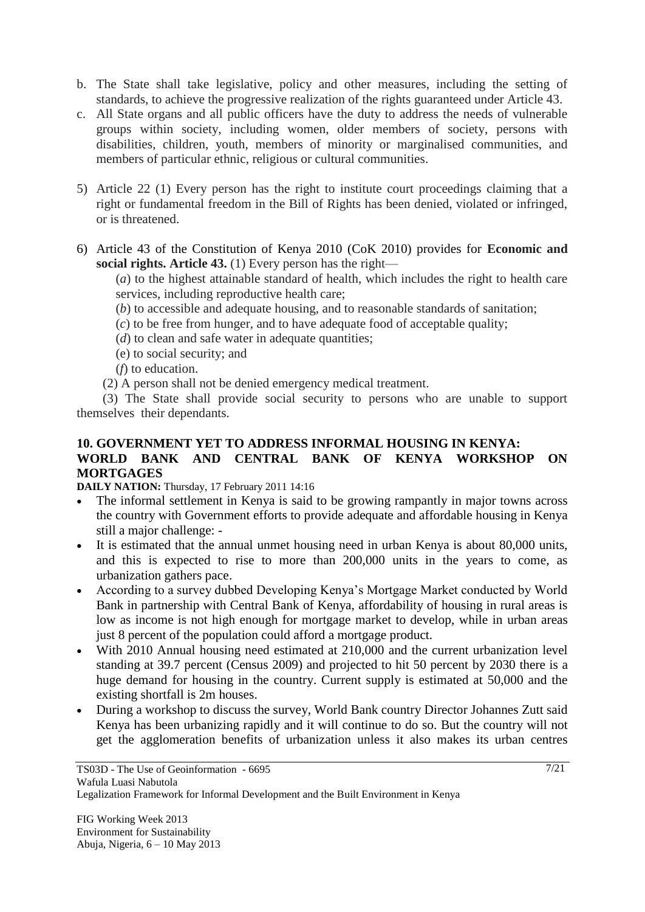- b. The State shall take legislative, policy and other measures, including the setting of standards, to achieve the progressive realization of the rights guaranteed under Article 43.
- c. All State organs and all public officers have the duty to address the needs of vulnerable groups within society, including women, older members of society, persons with disabilities, children, youth, members of minority or marginalised communities, and members of particular ethnic, religious or cultural communities.
- 5) Article 22 (1) Every person has the right to institute court proceedings claiming that a right or fundamental freedom in the Bill of Rights has been denied, violated or infringed, or is threatened.
- 6) Article 43 of the Constitution of Kenya 2010 (CoK 2010) provides for **Economic and social rights. Article 43.** (1) Every person has the right—

(*a*) to the highest attainable standard of health, which includes the right to health care services, including reproductive health care;

- (*b*) to accessible and adequate housing, and to reasonable standards of sanitation;
- (*c*) to be free from hunger, and to have adequate food of acceptable quality;
- (*d*) to clean and safe water in adequate quantities;
- (e) to social security; and
- (*f*) to education.
- (2) A person shall not be denied emergency medical treatment.

 (3) The State shall provide social security to persons who are unable to support themselves their dependants.

## **10. GOVERNMENT YET TO ADDRESS INFORMAL HOUSING IN KENYA: WORLD BANK AND CENTRAL BANK OF KENYA WORKSHOP ON MORTGAGES**

**DAILY NATION:** Thursday, 17 February 2011 14:16

- The informal settlement in Kenya is said to be growing rampantly in major towns across the country with Government efforts to provide adequate and affordable housing in Kenya still a major challenge: -
- It is estimated that the annual unmet housing need in urban Kenya is about 80,000 units, and this is expected to rise to more than 200,000 units in the years to come, as urbanization gathers pace.
- According to a survey dubbed Developing Kenya's Mortgage Market conducted by World Bank in partnership with Central Bank of Kenya, affordability of housing in rural areas is low as income is not high enough for mortgage market to develop, while in urban areas just 8 percent of the population could afford a mortgage product.
- With 2010 Annual housing need estimated at 210,000 and the current urbanization level standing at 39.7 percent (Census 2009) and projected to hit 50 percent by 2030 there is a huge demand for housing in the country. Current supply is estimated at 50,000 and the existing shortfall is 2m houses.
- During a workshop to discuss the survey, World Bank country Director Johannes Zutt said Kenya has been urbanizing rapidly and it will continue to do so. But the country will not get the agglomeration benefits of urbanization unless it also makes its urban centres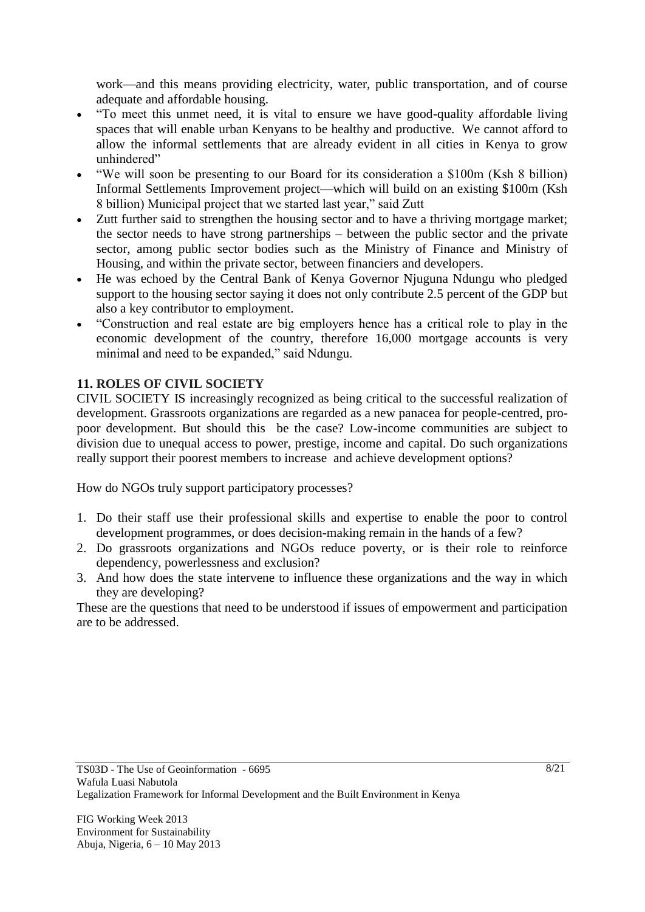work—and this means providing electricity, water, public transportation, and of course adequate and affordable housing.

- $\bullet$  "To meet this unmet need, it is vital to ensure we have good-quality affordable living spaces that will enable urban Kenyans to be healthy and productive. We cannot afford to allow the informal settlements that are already evident in all cities in Kenya to grow unhindered"
- ―We will soon be presenting to our Board for its consideration a \$100m (Ksh 8 billion) Informal Settlements Improvement project—which will build on an existing \$100m (Ksh 8 billion) Municipal project that we started last year," said Zutt
- Zutt further said to strengthen the housing sector and to have a thriving mortgage market; the sector needs to have strong partnerships – between the public sector and the private sector, among public sector bodies such as the Ministry of Finance and Ministry of Housing, and within the private sector, between financiers and developers.
- He was echoed by the Central Bank of Kenya Governor Njuguna Ndungu who pledged support to the housing sector saying it does not only contribute 2.5 percent of the GDP but also a key contributor to employment.
- ―Construction and real estate are big employers hence has a critical role to play in the economic development of the country, therefore 16,000 mortgage accounts is very minimal and need to be expanded," said Ndungu.

## **11. ROLES OF CIVIL SOCIETY**

CIVIL SOCIETY IS increasingly recognized as being critical to the successful realization of development. Grassroots organizations are regarded as a new panacea for people-centred, propoor development. But should this be the case? Low-income communities are subject to division due to unequal access to power, prestige, income and capital. Do such organizations really support their poorest members to increase and achieve development options?

How do NGOs truly support participatory processes?

- 1. Do their staff use their professional skills and expertise to enable the poor to control development programmes, or does decision-making remain in the hands of a few?
- 2. Do grassroots organizations and NGOs reduce poverty, or is their role to reinforce dependency, powerlessness and exclusion?
- 3. And how does the state intervene to influence these organizations and the way in which they are developing?

These are the questions that need to be understood if issues of empowerment and participation are to be addressed.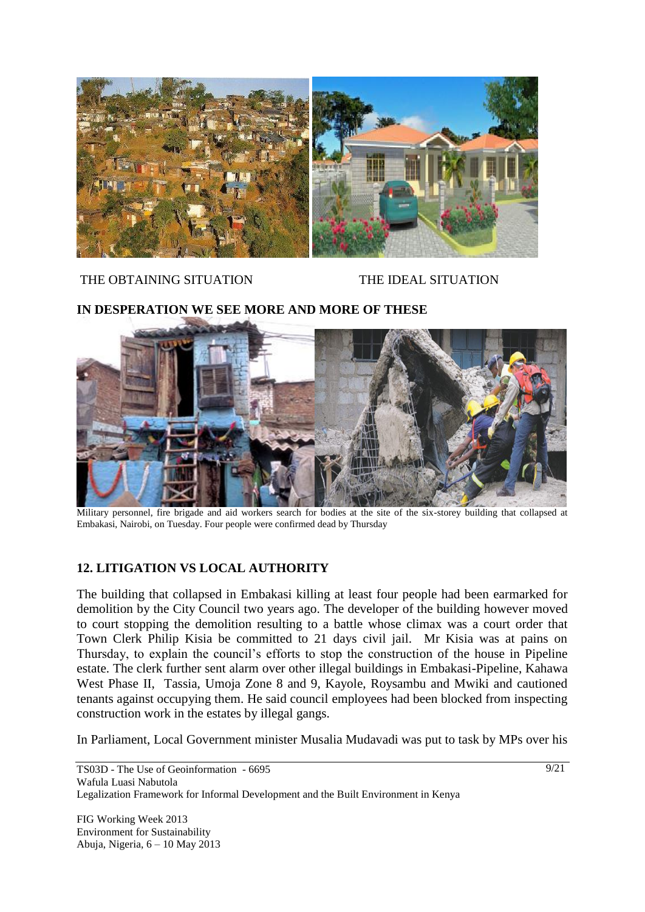

THE OBTAINING SITUATION THE IDEAL SITUATION

# **IN DESPERATION WE SEE MORE AND MORE OF THESE**

Military personnel, fire brigade and aid workers search for bodies at the site of the six-storey building that collapsed at Embakasi, Nairobi, on Tuesday. Four people were confirmed dead by Thursday

# **12. LITIGATION VS LOCAL AUTHORITY**

The building that collapsed in Embakasi killing at least four people had been earmarked for demolition by the City Council two years ago. The developer of the building however moved to court stopping the demolition resulting to a battle whose climax was a court order that Town Clerk Philip Kisia be committed to 21 days civil jail. Mr Kisia was at pains on Thursday, to explain the council's efforts to stop the construction of the house in Pipeline estate. The clerk further sent alarm over other illegal buildings in Embakasi-Pipeline, Kahawa West Phase II, Tassia, Umoja Zone 8 and 9, Kayole, Roysambu and Mwiki and cautioned tenants against occupying them. He said council employees had been blocked from inspecting construction work in the estates by illegal gangs.

In Parliament, Local Government minister Musalia Mudavadi was put to task by MPs over his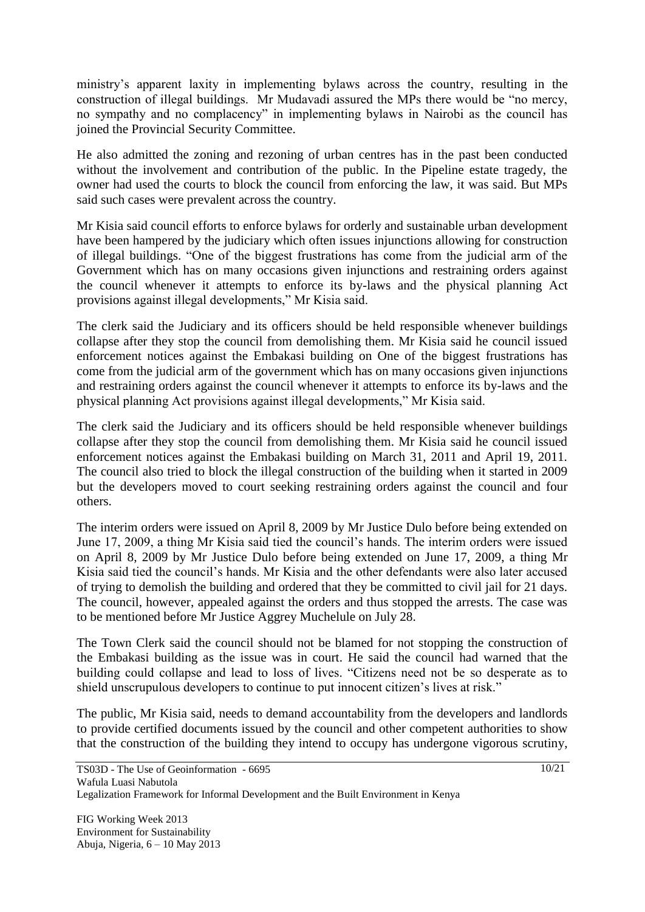ministry's apparent laxity in implementing bylaws across the country, resulting in the construction of illegal buildings. Mr Mudavadi assured the MPs there would be "no mercy, no sympathy and no complacency" in implementing bylaws in Nairobi as the council has joined the Provincial Security Committee.

He also admitted the zoning and rezoning of urban centres has in the past been conducted without the involvement and contribution of the public. In the Pipeline estate tragedy, the owner had used the courts to block the council from enforcing the law, it was said. But MPs said such cases were prevalent across the country.

Mr Kisia said council efforts to enforce bylaws for orderly and sustainable urban development have been hampered by the judiciary which often issues injunctions allowing for construction of illegal buildings. ―One of the biggest frustrations has come from the judicial arm of the Government which has on many occasions given injunctions and restraining orders against the council whenever it attempts to enforce its by-laws and the physical planning Act provisions against illegal developments," Mr Kisia said.

The clerk said the Judiciary and its officers should be held responsible whenever buildings collapse after they stop the council from demolishing them. Mr Kisia said he council issued enforcement notices against the Embakasi building on One of the biggest frustrations has come from the judicial arm of the government which has on many occasions given injunctions and restraining orders against the council whenever it attempts to enforce its by-laws and the physical planning Act provisions against illegal developments," Mr Kisia said.

The clerk said the Judiciary and its officers should be held responsible whenever buildings collapse after they stop the council from demolishing them. Mr Kisia said he council issued enforcement notices against the Embakasi building on March 31, 2011 and April 19, 2011. The council also tried to block the illegal construction of the building when it started in 2009 but the developers moved to court seeking restraining orders against the council and four others.

The interim orders were issued on April 8, 2009 by Mr Justice Dulo before being extended on June 17, 2009, a thing Mr Kisia said tied the council's hands. The interim orders were issued on April 8, 2009 by Mr Justice Dulo before being extended on June 17, 2009, a thing Mr Kisia said tied the council's hands. Mr Kisia and the other defendants were also later accused of trying to demolish the building and ordered that they be committed to civil jail for 21 days. The council, however, appealed against the orders and thus stopped the arrests. The case was to be mentioned before Mr Justice Aggrey Muchelule on July 28.

The Town Clerk said the council should not be blamed for not stopping the construction of the Embakasi building as the issue was in court. He said the council had warned that the building could collapse and lead to loss of lives. "Citizens need not be so desperate as to shield unscrupulous developers to continue to put innocent citizen's lives at risk."

The public, Mr Kisia said, needs to demand accountability from the developers and landlords to provide certified documents issued by the council and other competent authorities to show that the construction of the building they intend to occupy has undergone vigorous scrutiny,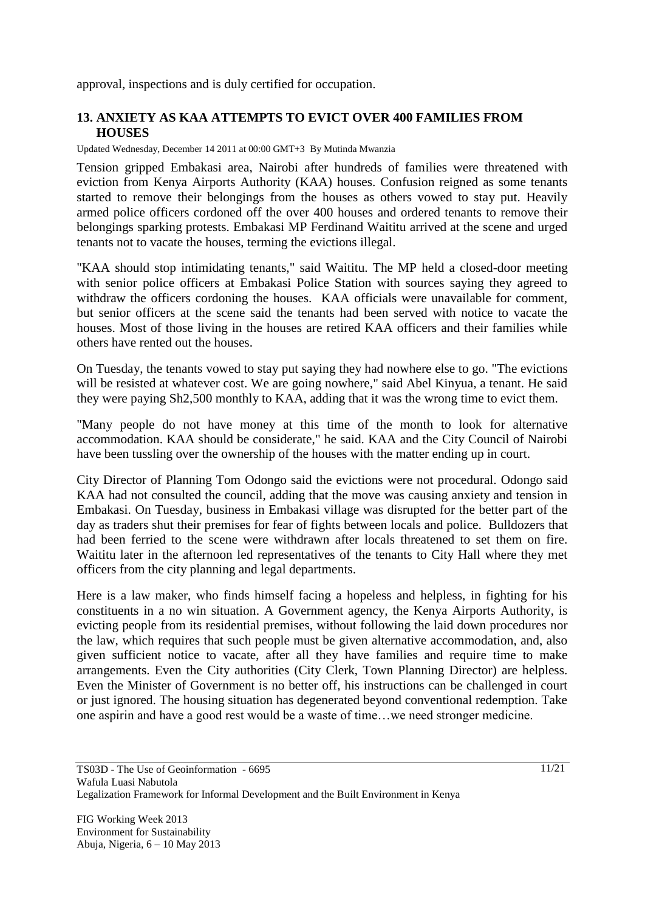approval, inspections and is duly certified for occupation.

## **13. ANXIETY AS KAA ATTEMPTS TO EVICT OVER 400 FAMILIES FROM HOUSES**

Updated Wednesday, December 14 2011 at 00:00 GMT+3 By Mutinda Mwanzia

Tension gripped Embakasi area, Nairobi after hundreds of families were threatened with eviction from Kenya Airports Authority (KAA) houses. Confusion reigned as some tenants started to remove their belongings from the houses as others vowed to stay put. Heavily armed police officers cordoned off the over 400 houses and ordered tenants to remove their belongings sparking protests. Embakasi MP Ferdinand Waititu arrived at the scene and urged tenants not to vacate the houses, terming the evictions illegal.

"KAA should stop intimidating tenants," said Waititu. The MP held a closed-door meeting with senior police officers at Embakasi Police Station with sources saying they agreed to withdraw the officers cordoning the houses. KAA officials were unavailable for comment, but senior officers at the scene said the tenants had been served with notice to vacate the houses. Most of those living in the houses are retired KAA officers and their families while others have rented out the houses.

On Tuesday, the tenants vowed to stay put saying they had nowhere else to go. "The evictions will be resisted at whatever cost. We are going nowhere," said Abel Kinyua, a tenant. He said they were paying Sh2,500 monthly to KAA, adding that it was the wrong time to evict them.

"Many people do not have money at this time of the month to look for alternative accommodation. KAA should be considerate," he said. KAA and the City Council of Nairobi have been tussling over the ownership of the houses with the matter ending up in court.

City Director of Planning Tom Odongo said the evictions were not procedural. Odongo said KAA had not consulted the council, adding that the move was causing anxiety and tension in Embakasi. On Tuesday, business in Embakasi village was disrupted for the better part of the day as traders shut their premises for fear of fights between locals and police. Bulldozers that had been ferried to the scene were withdrawn after locals threatened to set them on fire. Waititu later in the afternoon led representatives of the tenants to City Hall where they met officers from the city planning and legal departments.

Here is a law maker, who finds himself facing a hopeless and helpless, in fighting for his constituents in a no win situation. A Government agency, the Kenya Airports Authority, is evicting people from its residential premises, without following the laid down procedures nor the law, which requires that such people must be given alternative accommodation, and, also given sufficient notice to vacate, after all they have families and require time to make arrangements. Even the City authorities (City Clerk, Town Planning Director) are helpless. Even the Minister of Government is no better off, his instructions can be challenged in court or just ignored. The housing situation has degenerated beyond conventional redemption. Take one aspirin and have a good rest would be a waste of time…we need stronger medicine.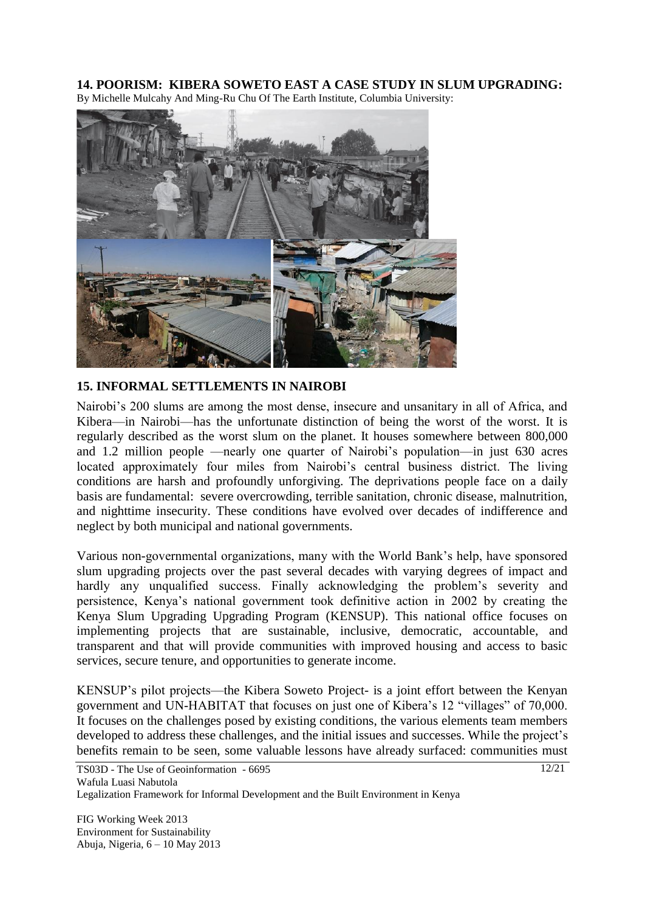**14. POORISM: KIBERA SOWETO EAST A CASE STUDY IN SLUM UPGRADING:**  By Michelle Mulcahy And Ming-Ru Chu Of The Earth Institute, Columbia University:



#### **15. INFORMAL SETTLEMENTS IN NAIROBI**

Nairobi's 200 slums are among the most dense, insecure and unsanitary in all of Africa, and Kibera—in Nairobi—has the unfortunate distinction of being the worst of the worst. It is regularly described as the worst slum on the planet. It houses somewhere between 800,000 and 1.2 million people —nearly one quarter of Nairobi's population—in just 630 acres located approximately four miles from Nairobi's central business district. The living conditions are harsh and profoundly unforgiving. The deprivations people face on a daily basis are fundamental: severe overcrowding, terrible sanitation, chronic disease, malnutrition, and nighttime insecurity. These conditions have evolved over decades of indifference and neglect by both municipal and national governments.

Various non-governmental organizations, many with the World Bank's help, have sponsored slum upgrading projects over the past several decades with varying degrees of impact and hardly any unqualified success. Finally acknowledging the problem's severity and persistence, Kenya's national government took definitive action in 2002 by creating the Kenya Slum Upgrading Upgrading Program (KENSUP). This national office focuses on implementing projects that are sustainable, inclusive, democratic, accountable, and transparent and that will provide communities with improved housing and access to basic services, secure tenure, and opportunities to generate income.

KENSUP's pilot projects—the Kibera Soweto Project- is a joint effort between the Kenyan government and UN-HABITAT that focuses on just one of Kibera's 12 "villages" of 70,000. It focuses on the challenges posed by existing conditions, the various elements team members developed to address these challenges, and the initial issues and successes. While the project's benefits remain to be seen, some valuable lessons have already surfaced: communities must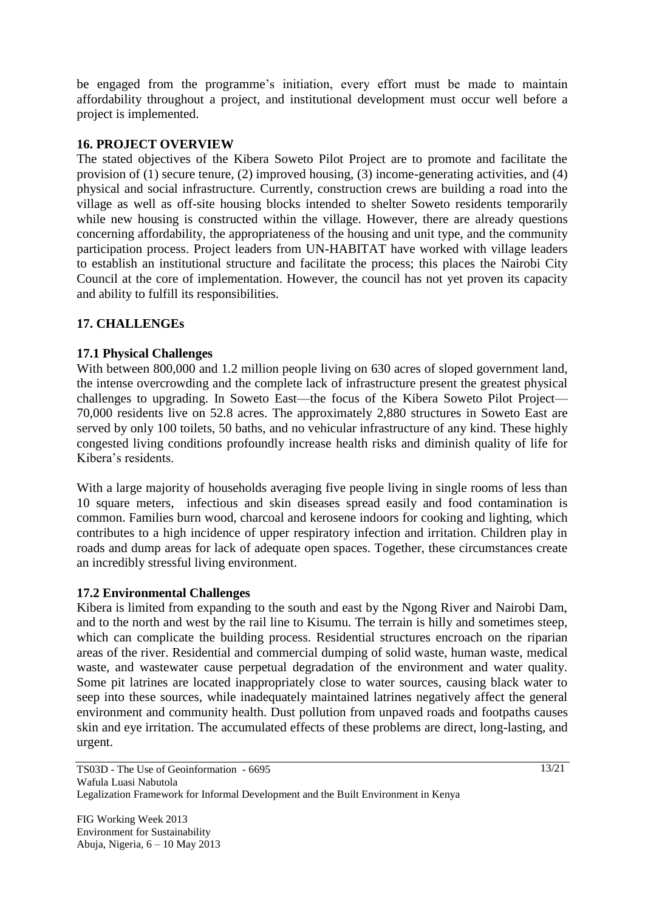be engaged from the programme's initiation, every effort must be made to maintain affordability throughout a project, and institutional development must occur well before a project is implemented.

## **16. PROJECT OVERVIEW**

The stated objectives of the Kibera Soweto Pilot Project are to promote and facilitate the provision of (1) secure tenure, (2) improved housing, (3) income-generating activities, and (4) physical and social infrastructure. Currently, construction crews are building a road into the village as well as off-site housing blocks intended to shelter Soweto residents temporarily while new housing is constructed within the village. However, there are already questions concerning affordability, the appropriateness of the housing and unit type, and the community participation process. Project leaders from UN-HABITAT have worked with village leaders to establish an institutional structure and facilitate the process; this places the Nairobi City Council at the core of implementation. However, the council has not yet proven its capacity and ability to fulfill its responsibilities.

## **17. CHALLENGEs**

### **17.1 Physical Challenges**

With between 800,000 and 1.2 million people living on 630 acres of sloped government land, the intense overcrowding and the complete lack of infrastructure present the greatest physical challenges to upgrading. In Soweto East—the focus of the Kibera Soweto Pilot Project— 70,000 residents live on 52.8 acres. The approximately 2,880 structures in Soweto East are served by only 100 toilets, 50 baths, and no vehicular infrastructure of any kind. These highly congested living conditions profoundly increase health risks and diminish quality of life for Kibera's residents.

With a large majority of households averaging five people living in single rooms of less than 10 square meters, infectious and skin diseases spread easily and food contamination is common. Families burn wood, charcoal and kerosene indoors for cooking and lighting, which contributes to a high incidence of upper respiratory infection and irritation. Children play in roads and dump areas for lack of adequate open spaces. Together, these circumstances create an incredibly stressful living environment.

#### **17.2 Environmental Challenges**

Kibera is limited from expanding to the south and east by the Ngong River and Nairobi Dam, and to the north and west by the rail line to Kisumu. The terrain is hilly and sometimes steep, which can complicate the building process. Residential structures encroach on the riparian areas of the river. Residential and commercial dumping of solid waste, human waste, medical waste, and wastewater cause perpetual degradation of the environment and water quality. Some pit latrines are located inappropriately close to water sources, causing black water to seep into these sources, while inadequately maintained latrines negatively affect the general environment and community health. Dust pollution from unpaved roads and footpaths causes skin and eye irritation. The accumulated effects of these problems are direct, long-lasting, and urgent.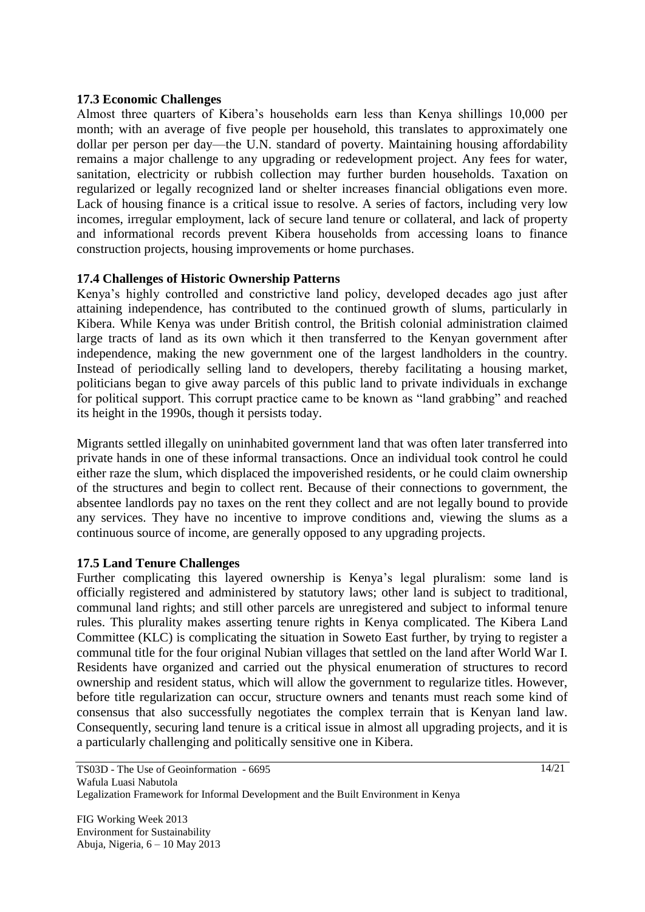### **17.3 Economic Challenges**

Almost three quarters of Kibera's households earn less than Kenya shillings 10,000 per month; with an average of five people per household, this translates to approximately one dollar per person per day—the U.N. standard of poverty. Maintaining housing affordability remains a major challenge to any upgrading or redevelopment project. Any fees for water, sanitation, electricity or rubbish collection may further burden households. Taxation on regularized or legally recognized land or shelter increases financial obligations even more. Lack of housing finance is a critical issue to resolve. A series of factors, including very low incomes, irregular employment, lack of secure land tenure or collateral, and lack of property and informational records prevent Kibera households from accessing loans to finance construction projects, housing improvements or home purchases.

## **17.4 Challenges of Historic Ownership Patterns**

Kenya's highly controlled and constrictive land policy, developed decades ago just after attaining independence, has contributed to the continued growth of slums, particularly in Kibera. While Kenya was under British control, the British colonial administration claimed large tracts of land as its own which it then transferred to the Kenyan government after independence, making the new government one of the largest landholders in the country. Instead of periodically selling land to developers, thereby facilitating a housing market, politicians began to give away parcels of this public land to private individuals in exchange for political support. This corrupt practice came to be known as "land grabbing" and reached its height in the 1990s, though it persists today.

Migrants settled illegally on uninhabited government land that was often later transferred into private hands in one of these informal transactions. Once an individual took control he could either raze the slum, which displaced the impoverished residents, or he could claim ownership of the structures and begin to collect rent. Because of their connections to government, the absentee landlords pay no taxes on the rent they collect and are not legally bound to provide any services. They have no incentive to improve conditions and, viewing the slums as a continuous source of income, are generally opposed to any upgrading projects.

## **17.5 Land Tenure Challenges**

Further complicating this layered ownership is Kenya's legal pluralism: some land is officially registered and administered by statutory laws; other land is subject to traditional, communal land rights; and still other parcels are unregistered and subject to informal tenure rules. This plurality makes asserting tenure rights in Kenya complicated. The Kibera Land Committee (KLC) is complicating the situation in Soweto East further, by trying to register a communal title for the four original Nubian villages that settled on the land after World War I. Residents have organized and carried out the physical enumeration of structures to record ownership and resident status, which will allow the government to regularize titles. However, before title regularization can occur, structure owners and tenants must reach some kind of consensus that also successfully negotiates the complex terrain that is Kenyan land law. Consequently, securing land tenure is a critical issue in almost all upgrading projects, and it is a particularly challenging and politically sensitive one in Kibera.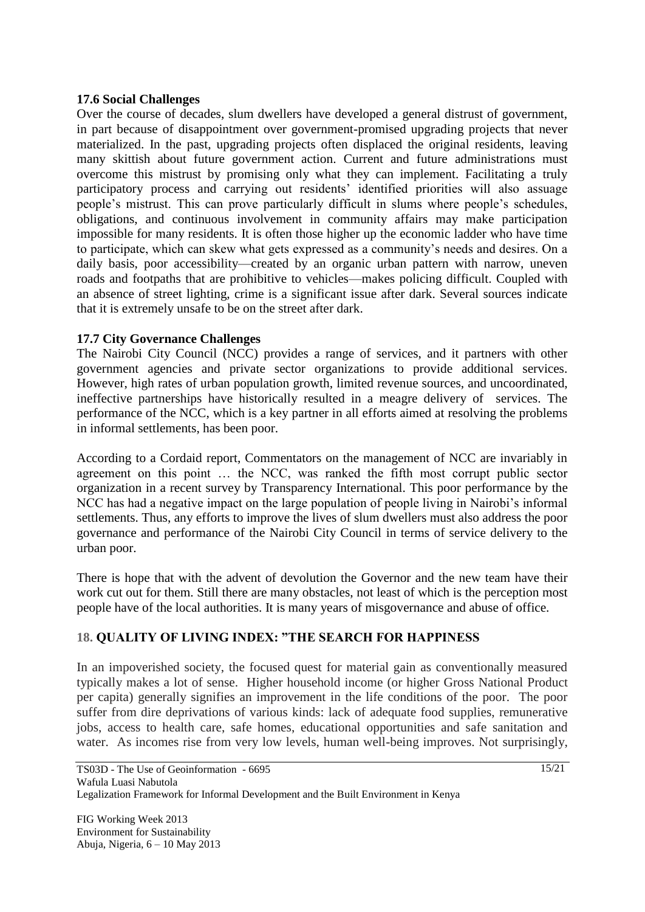### **17.6 Social Challenges**

Over the course of decades, slum dwellers have developed a general distrust of government, in part because of disappointment over government-promised upgrading projects that never materialized. In the past, upgrading projects often displaced the original residents, leaving many skittish about future government action. Current and future administrations must overcome this mistrust by promising only what they can implement. Facilitating a truly participatory process and carrying out residents' identified priorities will also assuage people's mistrust. This can prove particularly difficult in slums where people's schedules, obligations, and continuous involvement in community affairs may make participation impossible for many residents. It is often those higher up the economic ladder who have time to participate, which can skew what gets expressed as a community's needs and desires. On a daily basis, poor accessibility—created by an organic urban pattern with narrow, uneven roads and footpaths that are prohibitive to vehicles—makes policing difficult. Coupled with an absence of street lighting, crime is a significant issue after dark. Several sources indicate that it is extremely unsafe to be on the street after dark.

## **17.7 City Governance Challenges**

The Nairobi City Council (NCC) provides a range of services, and it partners with other government agencies and private sector organizations to provide additional services. However, high rates of urban population growth, limited revenue sources, and uncoordinated, ineffective partnerships have historically resulted in a meagre delivery of services. The performance of the NCC, which is a key partner in all efforts aimed at resolving the problems in informal settlements, has been poor.

According to a Cordaid report, Commentators on the management of NCC are invariably in agreement on this point … the NCC, was ranked the fifth most corrupt public sector organization in a recent survey by Transparency International. This poor performance by the NCC has had a negative impact on the large population of people living in Nairobi's informal settlements. Thus, any efforts to improve the lives of slum dwellers must also address the poor governance and performance of the Nairobi City Council in terms of service delivery to the urban poor.

There is hope that with the advent of devolution the Governor and the new team have their work cut out for them. Still there are many obstacles, not least of which is the perception most people have of the local authorities. It is many years of misgovernance and abuse of office.

## **18. QUALITY OF LIVING INDEX: "THE SEARCH FOR HAPPINESS**

In an impoverished society, the focused quest for material gain as conventionally measured typically makes a lot of sense. Higher household income (or higher Gross National Product per capita) generally signifies an improvement in the life conditions of the poor. The poor suffer from dire deprivations of various kinds: lack of adequate food supplies, remunerative jobs, access to health care, safe homes, educational opportunities and safe sanitation and water. As incomes rise from very low levels, human well-being improves. Not surprisingly,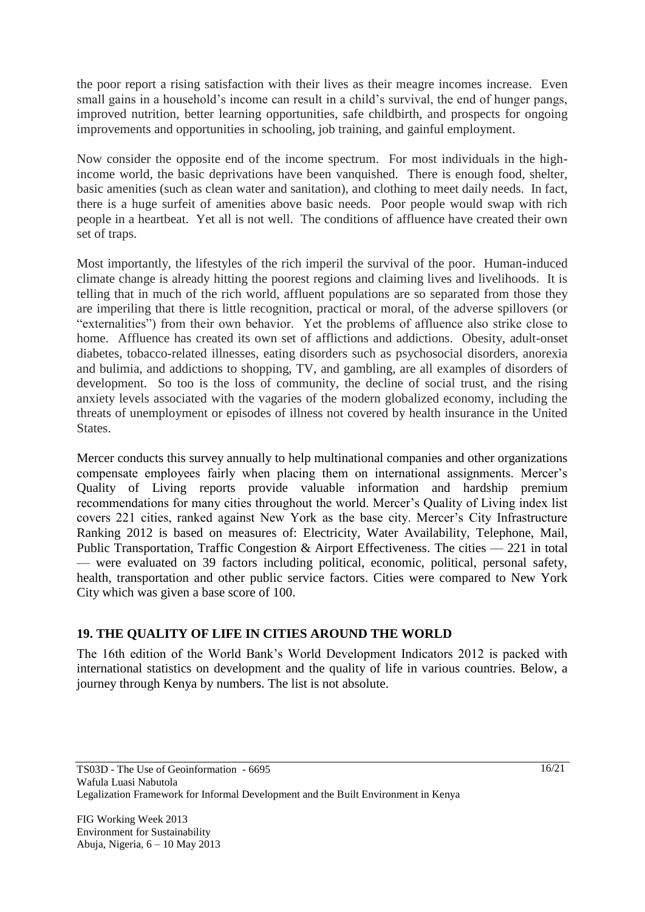the poor report a rising satisfaction with their lives as their meagre incomes increase. Even small gains in a household's income can result in a child's survival, the end of hunger pangs, improved nutrition, better learning opportunities, safe childbirth, and prospects for ongoing improvements and opportunities in schooling, job training, and gainful employment.

Now consider the opposite end of the income spectrum. For most individuals in the highincome world, the basic deprivations have been vanquished. There is enough food, shelter, basic amenities (such as clean water and sanitation), and clothing to meet daily needs. In fact, there is a huge surfeit of amenities above basic needs. Poor people would swap with rich people in a heartbeat. Yet all is not well. The conditions of affluence have created their own set of traps.

Most importantly, the lifestyles of the rich imperil the survival of the poor. Human-induced climate change is already hitting the poorest regions and claiming lives and livelihoods. It is telling that in much of the rich world, affluent populations are so separated from those they are imperiling that there is little recognition, practical or moral, of the adverse spillovers (or "externalities") from their own behavior. Yet the problems of affluence also strike close to home. Affluence has created its own set of afflictions and addictions. Obesity, adult-onset diabetes, tobacco-related illnesses, eating disorders such as psychosocial disorders, anorexia and bulimia, and addictions to shopping, TV, and gambling, are all examples of disorders of development. So too is the loss of community, the decline of social trust, and the rising anxiety levels associated with the vagaries of the modern globalized economy, including the threats of unemployment or episodes of illness not covered by health insurance in the United States.

Mercer conducts this survey annually to help multinational companies and other organizations compensate employees fairly when placing them on international assignments. Mercer's Quality of Living reports provide valuable information and hardship premium recommendations for many cities throughout the world. Mercer's Quality of Living index list covers 221 cities, ranked against New York as the base city. Mercer's City Infrastructure Ranking 2012 is based on measures of: Electricity, Water Availability, Telephone, Mail, Public Transportation, Traffic Congestion & Airport Effectiveness. The cities  $-221$  in total — were evaluated on 39 factors including political, economic, political, personal safety, health, transportation and other public service factors. Cities were compared to New York City which was given a base score of 100.

# **19. THE QUALITY OF LIFE IN CITIES AROUND THE WORLD**

The 16th edition of the World Bank's World Development Indicators 2012 is packed with international statistics on development and the quality of life in various countries. Below, a journey through Kenya by numbers. The list is not absolute.

FIG Working Week 2013 Environment for Sustainability Abuja, Nigeria, 6 – 10 May 2013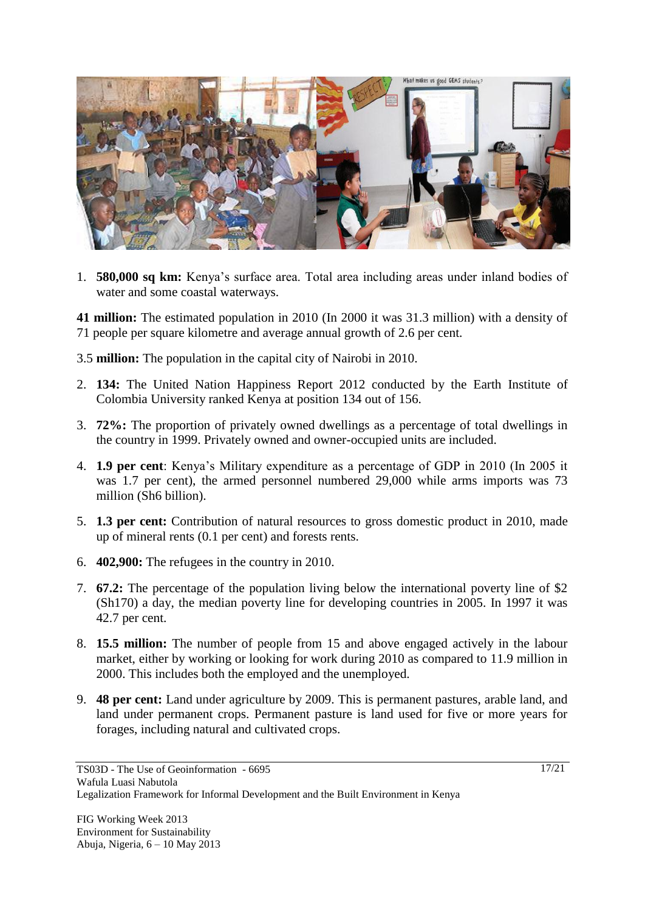

1. **580,000 sq km:** Kenya's surface area. Total area including areas under inland bodies of water and some coastal waterways.

**41 million:** The estimated population in 2010 (In 2000 it was 31.3 million) with a density of 71 people per square kilometre and average annual growth of 2.6 per cent.

3.5 **million:** The population in the capital city of Nairobi in 2010.

- 2. **134:** The United Nation Happiness Report 2012 conducted by the Earth Institute of Colombia University ranked Kenya at position 134 out of 156.
- 3. **72%:** The proportion of privately owned dwellings as a percentage of total dwellings in the country in 1999. Privately owned and owner-occupied units are included.
- 4. **1.9 per cent**: Kenya's Military expenditure as a percentage of GDP in 2010 (In 2005 it was 1.7 per cent), the armed personnel numbered 29,000 while arms imports was 73 million (Sh6 billion).
- 5. **1.3 per cent:** Contribution of natural resources to gross domestic product in 2010, made up of mineral rents (0.1 per cent) and forests rents.
- 6. **402,900:** The refugees in the country in 2010.
- 7. **67.2:** The percentage of the population living below the international poverty line of \$2 (Sh170) a day, the median poverty line for developing countries in 2005. In 1997 it was 42.7 per cent.
- 8. **15.5 million:** The number of people from 15 and above engaged actively in the labour market, either by working or looking for work during 2010 as compared to 11.9 million in 2000. This includes both the employed and the unemployed.
- 9. **48 per cent:** Land under agriculture by 2009. This is permanent pastures, arable land, and land under permanent crops. Permanent pasture is land used for five or more years for forages, including natural and cultivated crops.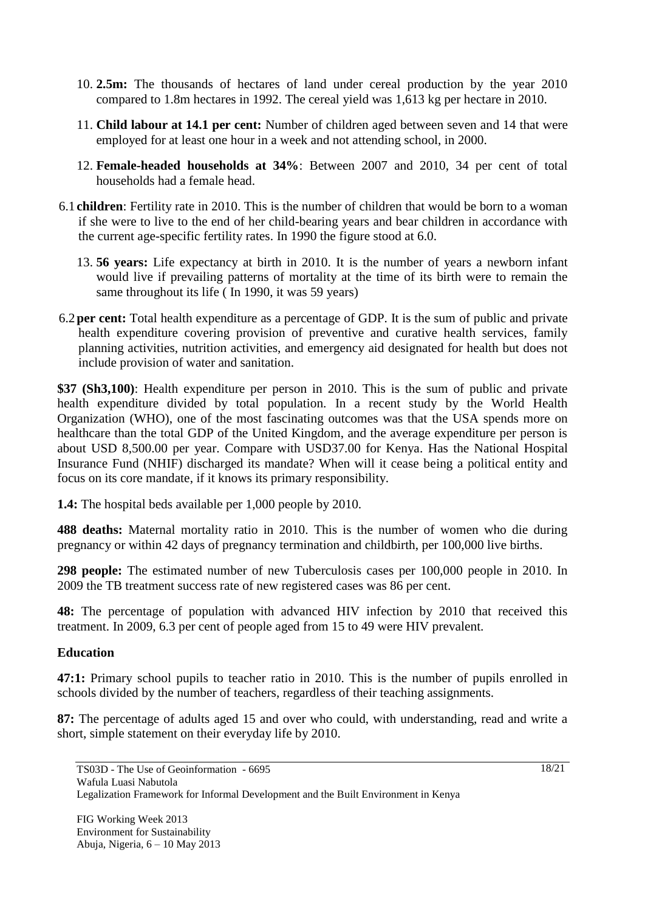- 10. **2.5m:** The thousands of hectares of land under cereal production by the year 2010 compared to 1.8m hectares in 1992. The cereal yield was 1,613 kg per hectare in 2010.
- 11. **Child labour at 14.1 per cent:** Number of children aged between seven and 14 that were employed for at least one hour in a week and not attending school, in 2000.
- 12. **Female-headed households at 34%**: Between 2007 and 2010, 34 per cent of total households had a female head.
- 6.1 **children**: Fertility rate in 2010. This is the number of children that would be born to a woman if she were to live to the end of her child-bearing years and bear children in accordance with the current age-specific fertility rates. In 1990 the figure stood at 6.0.
	- 13. **56 years:** Life expectancy at birth in 2010. It is the number of years a newborn infant would live if prevailing patterns of mortality at the time of its birth were to remain the same throughout its life ( In 1990, it was 59 years)
- 6.2**per cent:** Total health expenditure as a percentage of GDP. It is the sum of public and private health expenditure covering provision of preventive and curative health services, family planning activities, nutrition activities, and emergency aid designated for health but does not include provision of water and sanitation.

**\$37 (Sh3,100)**: Health expenditure per person in 2010. This is the sum of public and private health expenditure divided by total population. In a recent study by the World Health Organization (WHO), one of the most fascinating outcomes was that the USA spends more on healthcare than the total GDP of the United Kingdom, and the average expenditure per person is about USD 8,500.00 per year. Compare with USD37.00 for Kenya. Has the National Hospital Insurance Fund (NHIF) discharged its mandate? When will it cease being a political entity and focus on its core mandate, if it knows its primary responsibility.

**1.4:** The hospital beds available per 1,000 people by 2010.

**488 deaths:** Maternal mortality ratio in 2010. This is the number of women who die during pregnancy or within 42 days of pregnancy termination and childbirth, per 100,000 live births.

**298 people:** The estimated number of new Tuberculosis cases per 100,000 people in 2010. In 2009 the TB treatment success rate of new registered cases was 86 per cent.

**48:** The percentage of population with advanced HIV infection by 2010 that received this treatment. In 2009, 6.3 per cent of people aged from 15 to 49 were HIV prevalent.

## **Education**

**47:1:** Primary school pupils to teacher ratio in 2010. This is the number of pupils enrolled in schools divided by the number of teachers, regardless of their teaching assignments.

**87:** The percentage of adults aged 15 and over who could, with understanding, read and write a short, simple statement on their everyday life by 2010.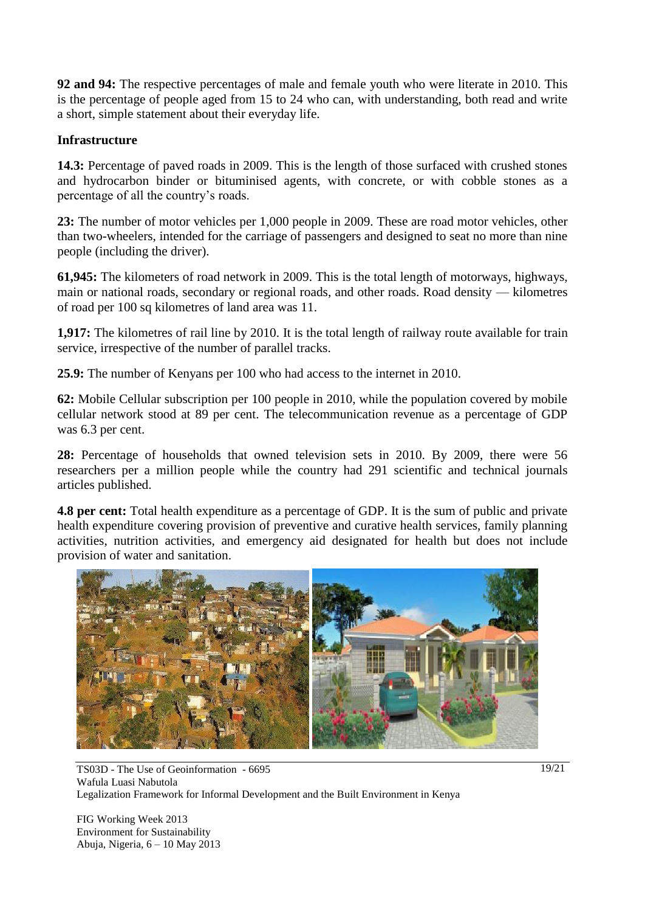**92 and 94:** The respective percentages of male and female youth who were literate in 2010. This is the percentage of people aged from 15 to 24 who can, with understanding, both read and write a short, simple statement about their everyday life.

## **Infrastructure**

**14.3:** Percentage of paved roads in 2009. This is the length of those surfaced with crushed stones and hydrocarbon binder or bituminised agents, with concrete, or with cobble stones as a percentage of all the country's roads.

**23:** The number of motor vehicles per 1,000 people in 2009. These are road motor vehicles, other than two-wheelers, intended for the carriage of passengers and designed to seat no more than nine people (including the driver).

**61,945:** The kilometers of road network in 2009. This is the total length of motorways, highways, main or national roads, secondary or regional roads, and other roads. Road density — kilometres of road per 100 sq kilometres of land area was 11.

**1,917:** The kilometres of rail line by 2010. It is the total length of railway route available for train service, irrespective of the number of parallel tracks.

**25.9:** The number of Kenyans per 100 who had access to the internet in 2010.

**62:** Mobile Cellular subscription per 100 people in 2010, while the population covered by mobile cellular network stood at 89 per cent. The telecommunication revenue as a percentage of GDP was 6.3 per cent.

**28:** Percentage of households that owned television sets in 2010. By 2009, there were 56 researchers per a million people while the country had 291 scientific and technical journals articles published.

**4.8 per cent:** Total health expenditure as a percentage of GDP. It is the sum of public and private health expenditure covering provision of preventive and curative health services, family planning activities, nutrition activities, and emergency aid designated for health but does not include provision of water and sanitation.



TS03D - The Use of Geoinformation - 6695 Wafula Luasi Nabutola Legalization Framework for Informal Development and the Built Environment in Kenya

FIG Working Week 2013 Environment for Sustainability Abuja, Nigeria, 6 – 10 May 2013 19/21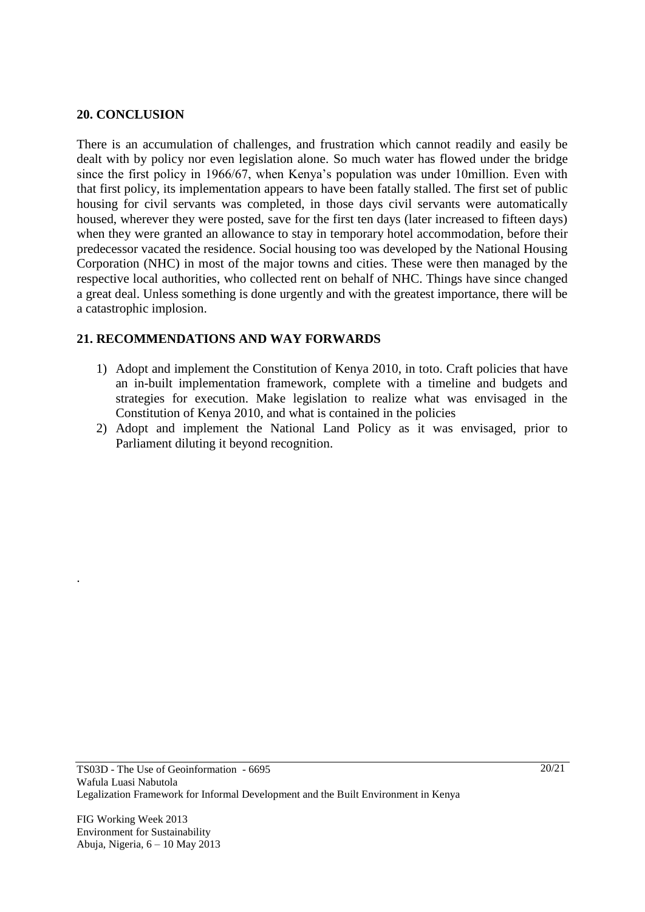#### **20. CONCLUSION**

There is an accumulation of challenges, and frustration which cannot readily and easily be dealt with by policy nor even legislation alone. So much water has flowed under the bridge since the first policy in 1966/67, when Kenya's population was under 10million. Even with that first policy, its implementation appears to have been fatally stalled. The first set of public housing for civil servants was completed, in those days civil servants were automatically housed, wherever they were posted, save for the first ten days (later increased to fifteen days) when they were granted an allowance to stay in temporary hotel accommodation, before their predecessor vacated the residence. Social housing too was developed by the National Housing Corporation (NHC) in most of the major towns and cities. These were then managed by the respective local authorities, who collected rent on behalf of NHC. Things have since changed a great deal. Unless something is done urgently and with the greatest importance, there will be a catastrophic implosion.

## **21. RECOMMENDATIONS AND WAY FORWARDS**

- 1) Adopt and implement the Constitution of Kenya 2010, in toto. Craft policies that have an in-built implementation framework, complete with a timeline and budgets and strategies for execution. Make legislation to realize what was envisaged in the Constitution of Kenya 2010, and what is contained in the policies
- 2) Adopt and implement the National Land Policy as it was envisaged, prior to Parliament diluting it beyond recognition.

.